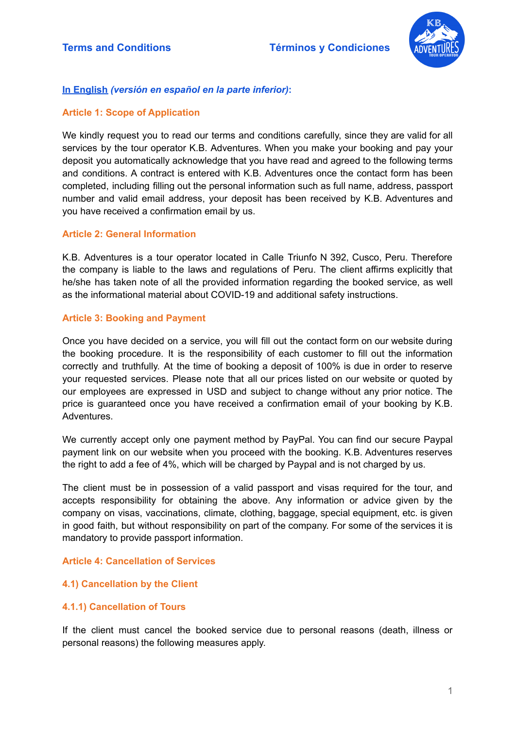

# **In English** *(versión en español en la parte inferior)***:**

# **Article 1: Scope of Application**

We kindly request you to read our terms and conditions carefully, since they are valid for all services by the tour operator K.B. Adventures. When you make your booking and pay your deposit you automatically acknowledge that you have read and agreed to the following terms and conditions. A contract is entered with K.B. Adventures once the contact form has been completed, including filling out the personal information such as full name, address, passport number and valid email address, your deposit has been received by K.B. Adventures and you have received a confirmation email by us.

## **Article 2: General Information**

K.B. Adventures is a tour operator located in Calle Triunfo N 392, Cusco, Peru. Therefore the company is liable to the laws and regulations of Peru. The client affirms explicitly that he/she has taken note of all the provided information regarding the booked service, as well as the informational material about COVID-19 and additional safety instructions.

## **Article 3: Booking and Payment**

Once you have decided on a service, you will fill out the contact form on our website during the booking procedure. It is the responsibility of each customer to fill out the information correctly and truthfully. At the time of booking a deposit of 100% is due in order to reserve your requested services. Please note that all our prices listed on our website or quoted by our employees are expressed in USD and subject to change without any prior notice. The price is guaranteed once you have received a confirmation email of your booking by K.B. Adventures.

We currently accept only one payment method by PayPal. You can find our secure Paypal payment link on our website when you proceed with the booking. K.B. Adventures reserves the right to add a fee of 4%, which will be charged by Paypal and is not charged by us.

The client must be in possession of a valid passport and visas required for the tour, and accepts responsibility for obtaining the above. Any information or advice given by the company on visas, vaccinations, climate, clothing, baggage, special equipment, etc. is given in good faith, but without responsibility on part of the company. For some of the services it is mandatory to provide passport information.

### **Article 4: Cancellation of Services**

### **4.1) Cancellation by the Client**

### **4.1.1) Cancellation of Tours**

If the client must cancel the booked service due to personal reasons (death, illness or personal reasons) the following measures apply.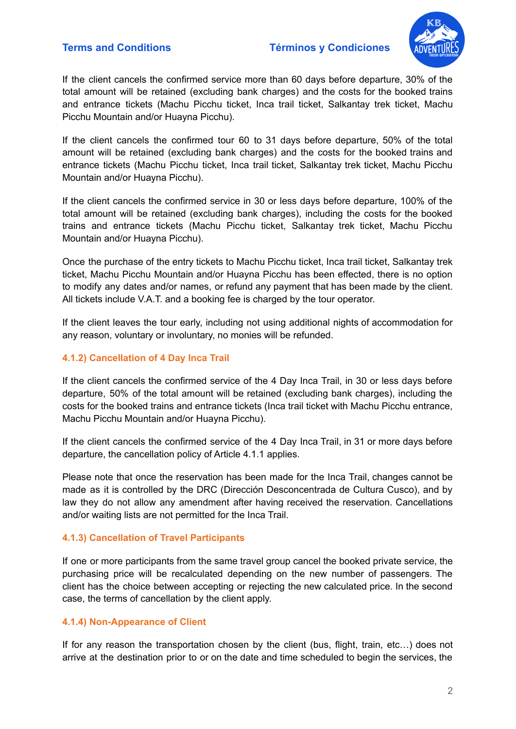

If the client cancels the confirmed service more than 60 days before departure, 30% of the total amount will be retained (excluding bank charges) and the costs for the booked trains and entrance tickets (Machu Picchu ticket, Inca trail ticket, Salkantay trek ticket, Machu Picchu Mountain and/or Huayna Picchu).

If the client cancels the confirmed tour 60 to 31 days before departure, 50% of the total amount will be retained (excluding bank charges) and the costs for the booked trains and entrance tickets (Machu Picchu ticket, Inca trail ticket, Salkantay trek ticket, Machu Picchu Mountain and/or Huayna Picchu).

If the client cancels the confirmed service in 30 or less days before departure, 100% of the total amount will be retained (excluding bank charges), including the costs for the booked trains and entrance tickets (Machu Picchu ticket, Salkantay trek ticket, Machu Picchu Mountain and/or Huayna Picchu).

Once the purchase of the entry tickets to Machu Picchu ticket, Inca trail ticket, Salkantay trek ticket, Machu Picchu Mountain and/or Huayna Picchu has been effected, there is no option to modify any dates and/or names, or refund any payment that has been made by the client. All tickets include V.A.T. and a booking fee is charged by the tour operator.

If the client leaves the tour early, including not using additional nights of accommodation for any reason, voluntary or involuntary, no monies will be refunded.

## **4.1.2) Cancellation of 4 Day Inca Trail**

If the client cancels the confirmed service of the 4 Day Inca Trail, in 30 or less days before departure, 50% of the total amount will be retained (excluding bank charges), including the costs for the booked trains and entrance tickets (Inca trail ticket with Machu Picchu entrance, Machu Picchu Mountain and/or Huayna Picchu).

If the client cancels the confirmed service of the 4 Day Inca Trail, in 31 or more days before departure, the cancellation policy of Article 4.1.1 applies.

Please note that once the reservation has been made for the Inca Trail, changes cannot be made as it is controlled by the DRC (Dirección Desconcentrada de Cultura Cusco), and by law they do not allow any amendment after having received the reservation. Cancellations and/or waiting lists are not permitted for the Inca Trail.

### **4.1.3) Cancellation of Travel Participants**

If one or more participants from the same travel group cancel the booked private service, the purchasing price will be recalculated depending on the new number of passengers. The client has the choice between accepting or rejecting the new calculated price. In the second case, the terms of cancellation by the client apply.

### **4.1.4) Non-Appearance of Client**

If for any reason the transportation chosen by the client (bus, flight, train, etc…) does not arrive at the destination prior to or on the date and time scheduled to begin the services, the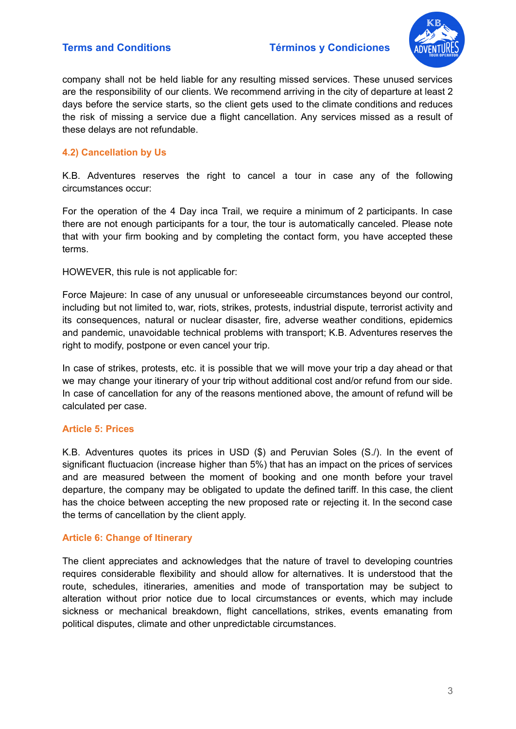

company shall not be held liable for any resulting missed services. These unused services are the responsibility of our clients. We recommend arriving in the city of departure at least 2 days before the service starts, so the client gets used to the climate conditions and reduces the risk of missing a service due a flight cancellation. Any services missed as a result of these delays are not refundable.

# **4.2) Cancellation by Us**

K.B. Adventures reserves the right to cancel a tour in case any of the following circumstances occur:

For the operation of the 4 Day inca Trail, we require a minimum of 2 participants. In case there are not enough participants for a tour, the tour is automatically canceled. Please note that with your firm booking and by completing the contact form, you have accepted these terms.

HOWEVER, this rule is not applicable for:

Force Majeure: In case of any unusual or unforeseeable circumstances beyond our control, including but not limited to, war, riots, strikes, protests, industrial dispute, terrorist activity and its consequences, natural or nuclear disaster, fire, adverse weather conditions, epidemics and pandemic, unavoidable technical problems with transport; K.B. Adventures reserves the right to modify, postpone or even cancel your trip.

In case of strikes, protests, etc. it is possible that we will move your trip a day ahead or that we may change your itinerary of your trip without additional cost and/or refund from our side. In case of cancellation for any of the reasons mentioned above, the amount of refund will be calculated per case.

### **Article 5: Prices**

K.B. Adventures quotes its prices in USD (\$) and Peruvian Soles (S./). In the event of significant fluctuacion (increase higher than 5%) that has an impact on the prices of services and are measured between the moment of booking and one month before your travel departure, the company may be obligated to update the defined tariff. In this case, the client has the choice between accepting the new proposed rate or rejecting it. In the second case the terms of cancellation by the client apply.

# **Article 6: Change of Itinerary**

The client appreciates and acknowledges that the nature of travel to developing countries requires considerable flexibility and should allow for alternatives. It is understood that the route, schedules, itineraries, amenities and mode of transportation may be subject to alteration without prior notice due to local circumstances or events, which may include sickness or mechanical breakdown, flight cancellations, strikes, events emanating from political disputes, climate and other unpredictable circumstances.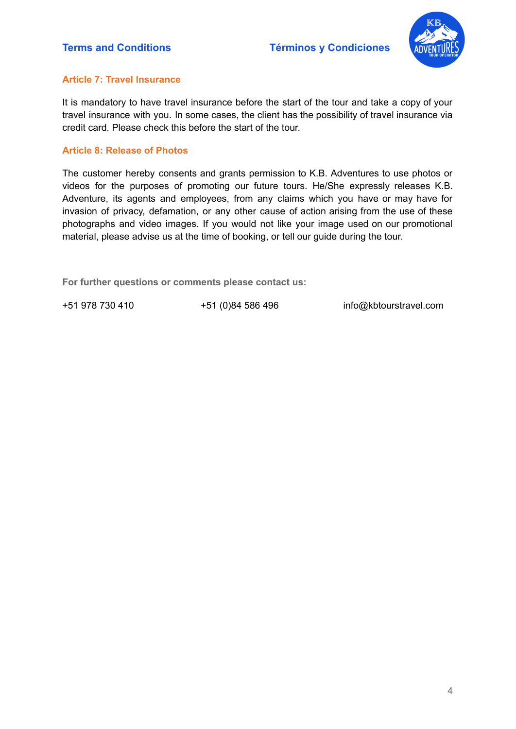

## **Article 7: Travel Insurance**

It is mandatory to have travel insurance before the start of the tour and take a copy of your travel insurance with you. In some cases, the client has the possibility of travel insurance via credit card. Please check this before the start of the tour.

## **Article 8: Release of Photos**

The customer hereby consents and grants permission to K.B. Adventures to use photos or videos for the purposes of promoting our future tours. He/She expressly releases K.B. Adventure, its agents and employees, from any claims which you have or may have for invasion of privacy, defamation, or any other cause of action arising from the use of these photographs and video images. If you would not like your image used on our promotional material, please advise us at the time of booking, or tell our guide during the tour.

**For further questions or comments please contact us:**

+51 978 730 410 +51 (0)84 586 496 [info@kbtourstravel.com](mailto:info@kbtourstravel.com)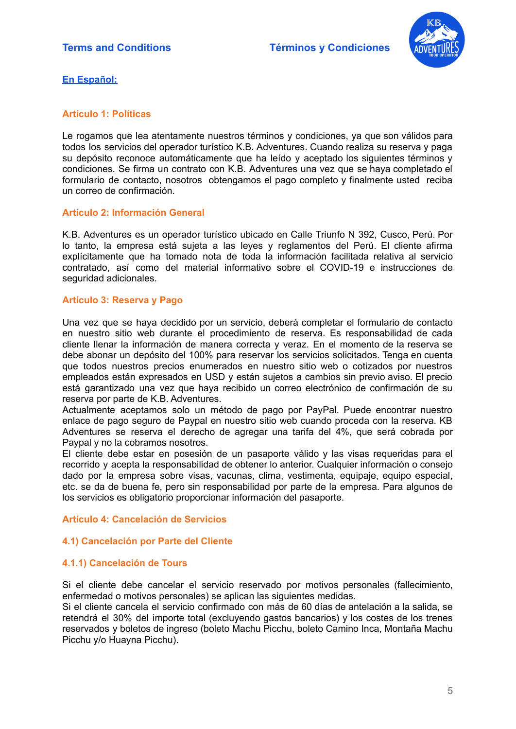

**En Español:**

## **Artículo 1: Políticas**

Le rogamos que lea atentamente nuestros términos y condiciones, ya que son válidos para todos los servicios del operador turístico K.B. Adventures. Cuando realiza su reserva y paga su depósito reconoce automáticamente que ha leído y aceptado los siguientes términos y condiciones. Se firma un contrato con K.B. Adventures una vez que se haya completado el formulario de contacto, nosotros obtengamos el pago completo y finalmente usted reciba un correo de confirmación.

### **Artículo 2: Información General**

K.B. Adventures es un operador turístico ubicado en Calle Triunfo N 392, Cusco, Perú. Por lo tanto, la empresa está sujeta a las leyes y reglamentos del Perú. El cliente afirma explícitamente que ha tomado nota de toda la información facilitada relativa al servicio contratado, así como del material informativo sobre el COVID-19 e instrucciones de seguridad adicionales.

### **Artículo 3: Reserva y Pago**

Una vez que se haya decidido por un servicio, deberá completar el formulario de contacto en nuestro sitio web durante el procedimiento de reserva. Es responsabilidad de cada cliente llenar la información de manera correcta y veraz. En el momento de la reserva se debe abonar un depósito del 100% para reservar los servicios solicitados. Tenga en cuenta que todos nuestros precios enumerados en nuestro sitio web o cotizados por nuestros empleados están expresados en USD y están sujetos a cambios sin previo aviso. El precio está garantizado una vez que haya recibido un correo electrónico de confirmación de su reserva por parte de K.B. Adventures.

Actualmente aceptamos solo un método de pago por PayPal. Puede encontrar nuestro enlace de pago seguro de Paypal en nuestro sitio web cuando proceda con la reserva. KB Adventures se reserva el derecho de agregar una tarifa del 4%, que será cobrada por Paypal y no la cobramos nosotros.

El cliente debe estar en posesión de un pasaporte válido y las visas requeridas para el recorrido y acepta la responsabilidad de obtener lo anterior. Cualquier información o consejo dado por la empresa sobre visas, vacunas, clima, vestimenta, equipaje, equipo especial, etc. se da de buena fe, pero sin responsabilidad por parte de la empresa. Para algunos de los servicios es obligatorio proporcionar información del pasaporte.

### **Artículo 4: Cancelación de Servicios**

# **4.1) Cancelación por Parte del Cliente**

### **4.1.1) Cancelación de Tours**

Si el cliente debe cancelar el servicio reservado por motivos personales (fallecimiento, enfermedad o motivos personales) se aplican las siguientes medidas.

Si el cliente cancela el servicio confirmado con más de 60 días de antelación a la salida, se retendrá el 30% del importe total (excluyendo gastos bancarios) y los costes de los trenes reservados y boletos de ingreso (boleto Machu Picchu, boleto Camino Inca, Montaña Machu Picchu y/o Huayna Picchu).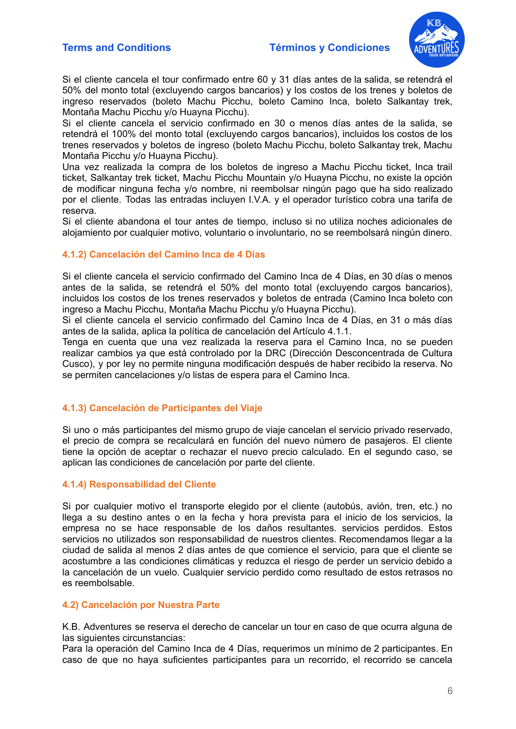

Si el cliente cancela el tour confirmado entre 60 y 31 días antes de la salida, se retendrá el 50% del monto total (excluyendo cargos bancarios) y los costos de los trenes y boletos de ingreso reservados (boleto Machu Picchu, boleto Camino Inca, boleto Salkantay trek, Montaña Machu Picchu y/o Huayna Picchu).

Si el cliente cancela el servicio confirmado en 30 o menos días antes de la salida, se retendrá el 100% del monto total (excluyendo cargos bancarios), incluidos los costos de los trenes reservados y boletos de ingreso (boleto Machu Picchu, boleto Salkantay trek, Machu Montaña Picchu y/o Huayna Picchu).

Una vez realizada la compra de los boletos de ingreso a Machu Picchu ticket, Inca trail ticket, Salkantay trek ticket, Machu Picchu Mountain y/o Huayna Picchu, no existe la opción de modificar ninguna fecha y/o nombre, ni reembolsar ningún pago que ha sido realizado por el cliente. Todas las entradas incluyen I.V.A. y el operador turístico cobra una tarifa de reserva.

Si el cliente abandona el tour antes de tiempo, incluso si no utiliza noches adicionales de alojamiento por cualquier motivo, voluntario o involuntario, no se reembolsará ningún dinero.

#### **4.1.2) Cancelación del Camino Inca de 4 Días**

Si el cliente cancela el servicio confirmado del Camino Inca de 4 Días, en 30 días o menos antes de la salida, se retendrá el 50% del monto total (excluyendo cargos bancarios), incluidos los costos de los trenes reservados y boletos de entrada (Camino Inca boleto con ingreso a Machu Picchu, Montaña Machu Picchu y/o Huayna Picchu).

Si el cliente cancela el servicio confirmado del Camino Inca de 4 Días, en 31 o más días antes de la salida, aplica la política de cancelación del Artículo 4.1.1.

Tenga en cuenta que una vez realizada la reserva para el Camino Inca, no se pueden realizar cambios ya que está controlado por la DRC (Dirección Desconcentrada de Cultura Cusco), y por ley no permite ninguna modificación después de haber recibido la reserva. No se permiten cancelaciones y/o listas de espera para el Camino Inca.

### **4.1.3) Cancelación de Participantes del Viaje**

Si uno o más participantes del mismo grupo de viaje cancelan el servicio privado reservado, el precio de compra se recalculará en función del nuevo número de pasajeros. El cliente tiene la opción de aceptar o rechazar el nuevo precio calculado. En el segundo caso, se aplican las condiciones de cancelación por parte del cliente.

#### **4.1.4) Responsabilidad del Cliente**

Si por cualquier motivo el transporte elegido por el cliente (autobús, avión, tren, etc.) no llega a su destino antes o en la fecha y hora prevista para el inicio de los servicios, la empresa no se hace responsable de los daños resultantes. servicios perdidos. Estos servicios no utilizados son responsabilidad de nuestros clientes. Recomendamos llegar a la ciudad de salida al menos 2 días antes de que comience el servicio, para que el cliente se acostumbre a las condiciones climáticas y reduzca el riesgo de perder un servicio debido a la cancelación de un vuelo. Cualquier servicio perdido como resultado de estos retrasos no es reembolsable.

#### **4.2) Cancelación por Nuestra Parte**

K.B. Adventures se reserva el derecho de cancelar un tour en caso de que ocurra alguna de las siguientes circunstancias:

Para la operación del Camino Inca de 4 Días, requerimos un mínimo de 2 participantes. En caso de que no haya suficientes participantes para un recorrido, el recorrido se cancela